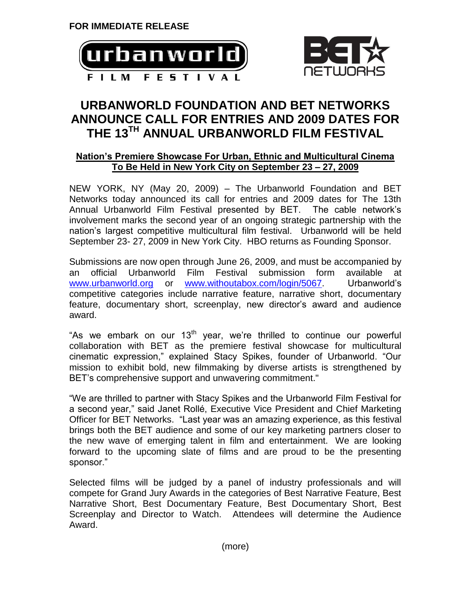



## **URBANWORLD FOUNDATION AND BET NETWORKS ANNOUNCE CALL FOR ENTRIES AND 2009 DATES FOR THE 13TH ANNUAL URBANWORLD FILM FESTIVAL**

## **Nation's Premiere Showcase For Urban, Ethnic and Multicultural Cinema To Be Held in New York City on September 23 – 27, 2009**

NEW YORK, NY (May 20, 2009) – The Urbanworld Foundation and BET Networks today announced its call for entries and 2009 dates for The 13th Annual Urbanworld Film Festival presented by BET. The cable network's involvement marks the second year of an ongoing strategic partnership with the nation's largest competitive multicultural film festival. Urbanworld will be held September 23- 27, 2009 in New York City. HBO returns as Founding Sponsor.

Submissions are now open through June 26, 2009, and must be accompanied by an official Urbanworld Film Festival submission form available at [www.urbanworld.org](http://www.urbanworld.org/) or [www.withoutabox.com/login/5067.](http://www.withoutabox.com/login/5067) Urbanworld's competitive categories include narrative feature, narrative short, documentary feature, documentary short, screenplay, new director's award and audience award.

"As we embark on our  $13<sup>th</sup>$  year, we're thrilled to continue our powerful collaboration with BET as the premiere festival showcase for multicultural cinematic expression," explained Stacy Spikes, founder of Urbanworld. "Our mission to exhibit bold, new filmmaking by diverse artists is strengthened by BET's comprehensive support and unwavering commitment."

"We are thrilled to partner with Stacy Spikes and the Urbanworld Film Festival for a second year," said Janet Rollé, Executive Vice President and Chief Marketing Officer for BET Networks. "Last year was an amazing experience, as this festival brings both the BET audience and some of our key marketing partners closer to the new wave of emerging talent in film and entertainment. We are looking forward to the upcoming slate of films and are proud to be the presenting sponsor."

Selected films will be judged by a panel of industry professionals and will compete for Grand Jury Awards in the categories of Best Narrative Feature, Best Narrative Short, Best Documentary Feature, Best Documentary Short, Best Screenplay and Director to Watch. Attendees will determine the Audience Award.

(more)